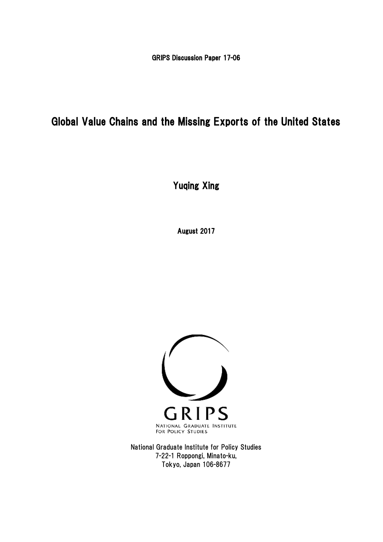GRIPS Discussion Paper 17-06

# Global Value Chains and the Missing Exports of the United States

Yuqing Xing

August 2017



National Graduate Institute for Policy Studies 7-22-1 Roppongi, Minato-ku, Tokyo, Japan 106-8677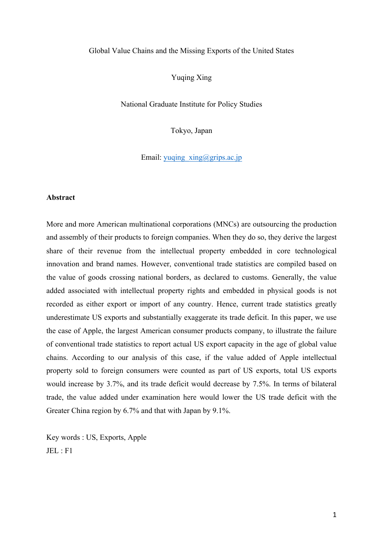#### Global Value Chains and the Missing Exports of the United States

Yuqing Xing

National Graduate Institute for Policy Studies

Tokyo, Japan

Email: yuqing\_xing@grips.ac.jp

#### **Abstract**

More and more American multinational corporations (MNCs) are outsourcing the production and assembly of their products to foreign companies. When they do so, they derive the largest share of their revenue from the intellectual property embedded in core technological innovation and brand names. However, conventional trade statistics are compiled based on the value of goods crossing national borders, as declared to customs. Generally, the value added associated with intellectual property rights and embedded in physical goods is not recorded as either export or import of any country. Hence, current trade statistics greatly underestimate US exports and substantially exaggerate its trade deficit. In this paper, we use the case of Apple, the largest American consumer products company, to illustrate the failure of conventional trade statistics to report actual US export capacity in the age of global value chains. According to our analysis of this case, if the value added of Apple intellectual property sold to foreign consumers were counted as part of US exports, total US exports would increase by 3.7%, and its trade deficit would decrease by 7.5%. In terms of bilateral trade, the value added under examination here would lower the US trade deficit with the Greater China region by 6.7% and that with Japan by 9.1%.

Key words : US, Exports, Apple JEL : F1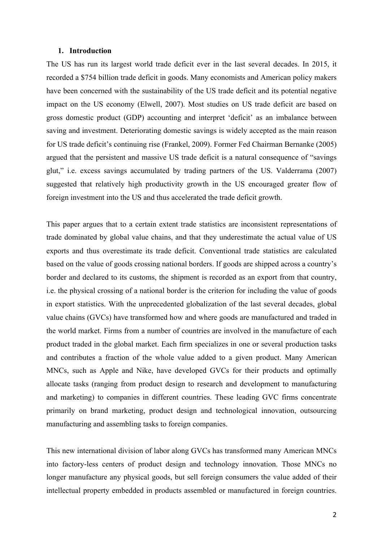#### **1. Introduction**

The US has run its largest world trade deficit ever in the last several decades. In 2015, it recorded a \$754 billion trade deficit in goods. Many economists and American policy makers have been concerned with the sustainability of the US trade deficit and its potential negative impact on the US economy (Elwell, 2007). Most studies on US trade deficit are based on gross domestic product (GDP) accounting and interpret 'deficit' as an imbalance between saving and investment. Deteriorating domestic savings is widely accepted as the main reason for US trade deficit's continuing rise (Frankel, 2009). Former Fed Chairman Bernanke (2005) argued that the persistent and massive US trade deficit is a natural consequence of "savings glut," i.e. excess savings accumulated by trading partners of the US. Valderrama (2007) suggested that relatively high productivity growth in the US encouraged greater flow of foreign investment into the US and thus accelerated the trade deficit growth.

This paper argues that to a certain extent trade statistics are inconsistent representations of trade dominated by global value chains, and that they underestimate the actual value of US exports and thus overestimate its trade deficit. Conventional trade statistics are calculated based on the value of goods crossing national borders. If goods are shipped across a country's border and declared to its customs, the shipment is recorded as an export from that country, i.e. the physical crossing of a national border is the criterion for including the value of goods in export statistics. With the unprecedented globalization of the last several decades, global value chains (GVCs) have transformed how and where goods are manufactured and traded in the world market. Firms from a number of countries are involved in the manufacture of each product traded in the global market. Each firm specializes in one or several production tasks and contributes a fraction of the whole value added to a given product. Many American MNCs, such as Apple and Nike, have developed GVCs for their products and optimally allocate tasks (ranging from product design to research and development to manufacturing and marketing) to companies in different countries. These leading GVC firms concentrate primarily on brand marketing, product design and technological innovation, outsourcing manufacturing and assembling tasks to foreign companies.

This new international division of labor along GVCs has transformed many American MNCs into factory-less centers of product design and technology innovation. Those MNCs no longer manufacture any physical goods, but sell foreign consumers the value added of their intellectual property embedded in products assembled or manufactured in foreign countries.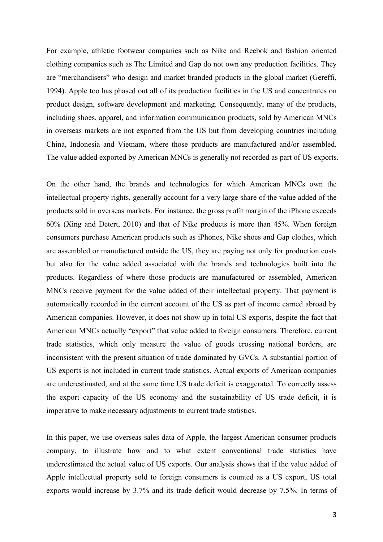For example, athletic footwear companies such as Nike and Reebok and fashion oriented clothing companies such as The Limited and Gap do not own any production facilities. They are "merchandisers" who design and market branded products in the global market (Gereffi, 1994). Apple too has phased out all of its production facilities in the US and concentrates on product design, software development and marketing. Consequently, many of the products, including shoes, apparel, and information communication products, sold by American MNCs in overseas markets are not exported from the US but from developing countries including China, Indonesia and Vietnam, where those products are manufactured and/or assembled. The value added exported by American MNCs is generally not recorded as part of US exports.

On the other hand, the brands and technologies for which American MNCs own the intellectual property rights, generally account for a very large share of the value added of the products sold in overseas markets. For instance, the gross profit margin of the iPhone exceeds 60% (Xing and Detert, 2010) and that of Nike products is more than 45%. When foreign consumers purchase American products such as iPhones, Nike shoes and Gap clothes, which are assembled or manufactured outside the US, they are paying not only for production costs but also for the value added associated with the brands and technologies built into the products. Regardless of where those products are manufactured or assembled, American MNCs receive payment for the value added of their intellectual property. That payment is automatically recorded in the current account of the US as part of income earned abroad by American companies. However, it does not show up in total US exports, despite the fact that American MNCs actually "export" that value added to foreign consumers. Therefore, current trade statistics, which only measure the value of goods crossing national borders, are inconsistent with the present situation of trade dominated by GVCs. A substantial portion of US exports is not included in current trade statistics. Actual exports of American companies are underestimated, and at the same time US trade deficit is exaggerated. To correctly assess the export capacity of the US economy and the sustainability of US trade deficit, it is imperative to make necessary adjustments to current trade statistics.

In this paper, we use overseas sales data of Apple, the largest American consumer products company, to illustrate how and to what extent conventional trade statistics have underestimated the actual value of US exports. Our analysis shows that if the value added of Apple intellectual property sold to foreign consumers is counted as a US export, US total exports would increase by 3.7% and its trade deficit would decrease by 7.5%. In terms of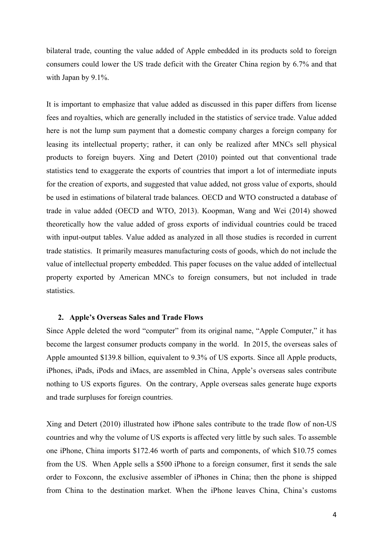bilateral trade, counting the value added of Apple embedded in its products sold to foreign consumers could lower the US trade deficit with the Greater China region by 6.7% and that with Japan by 9.1%.

It is important to emphasize that value added as discussed in this paper differs from license fees and royalties, which are generally included in the statistics of service trade. Value added here is not the lump sum payment that a domestic company charges a foreign company for leasing its intellectual property; rather, it can only be realized after MNCs sell physical products to foreign buyers. Xing and Detert (2010) pointed out that conventional trade statistics tend to exaggerate the exports of countries that import a lot of intermediate inputs for the creation of exports, and suggested that value added, not gross value of exports, should be used in estimations of bilateral trade balances. OECD and WTO constructed a database of trade in value added (OECD and WTO, 2013). Koopman, Wang and Wei (2014) showed theoretically how the value added of gross exports of individual countries could be traced with input-output tables. Value added as analyzed in all those studies is recorded in current trade statistics. It primarily measures manufacturing costs of goods, which do not include the value of intellectual property embedded. This paper focuses on the value added of intellectual property exported by American MNCs to foreign consumers, but not included in trade statistics.

#### **2. Apple's Overseas Sales and Trade Flows**

Since Apple deleted the word "computer" from its original name, "Apple Computer," it has become the largest consumer products company in the world. In 2015, the overseas sales of Apple amounted \$139.8 billion, equivalent to 9.3% of US exports. Since all Apple products, iPhones, iPads, iPods and iMacs, are assembled in China, Apple's overseas sales contribute nothing to US exports figures. On the contrary, Apple overseas sales generate huge exports and trade surpluses for foreign countries.

Xing and Detert (2010) illustrated how iPhone sales contribute to the trade flow of non-US countries and why the volume of US exports is affected very little by such sales. To assemble one iPhone, China imports \$172.46 worth of parts and components, of which \$10.75 comes from the US. When Apple sells a \$500 iPhone to a foreign consumer, first it sends the sale order to Foxconn, the exclusive assembler of iPhones in China; then the phone is shipped from China to the destination market. When the iPhone leaves China, China's customs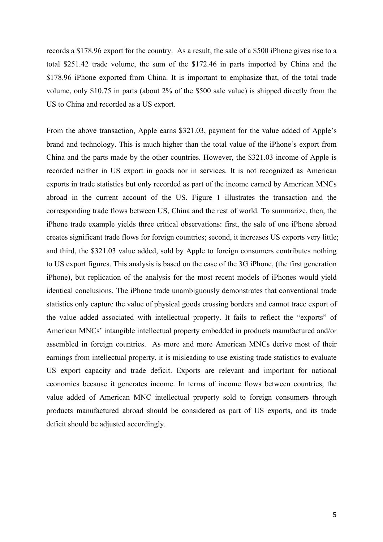records a \$178.96 export for the country. As a result, the sale of a \$500 iPhone gives rise to a total \$251.42 trade volume, the sum of the \$172.46 in parts imported by China and the \$178.96 iPhone exported from China. It is important to emphasize that, of the total trade volume, only \$10.75 in parts (about 2% of the \$500 sale value) is shipped directly from the US to China and recorded as a US export.

From the above transaction, Apple earns \$321.03, payment for the value added of Apple's brand and technology. This is much higher than the total value of the iPhone's export from China and the parts made by the other countries. However, the \$321.03 income of Apple is recorded neither in US export in goods nor in services. It is not recognized as American exports in trade statistics but only recorded as part of the income earned by American MNCs abroad in the current account of the US. Figure 1 illustrates the transaction and the corresponding trade flows between US, China and the rest of world. To summarize, then, the iPhone trade example yields three critical observations: first, the sale of one iPhone abroad creates significant trade flows for foreign countries; second, it increases US exports very little; and third, the \$321.03 value added, sold by Apple to foreign consumers contributes nothing to US export figures. This analysis is based on the case of the 3G iPhone, (the first generation iPhone), but replication of the analysis for the most recent models of iPhones would yield identical conclusions. The iPhone trade unambiguously demonstrates that conventional trade statistics only capture the value of physical goods crossing borders and cannot trace export of the value added associated with intellectual property. It fails to reflect the "exports" of American MNCs' intangible intellectual property embedded in products manufactured and/or assembled in foreign countries. As more and more American MNCs derive most of their earnings from intellectual property, it is misleading to use existing trade statistics to evaluate US export capacity and trade deficit. Exports are relevant and important for national economies because it generates income. In terms of income flows between countries, the value added of American MNC intellectual property sold to foreign consumers through products manufactured abroad should be considered as part of US exports, and its trade deficit should be adjusted accordingly.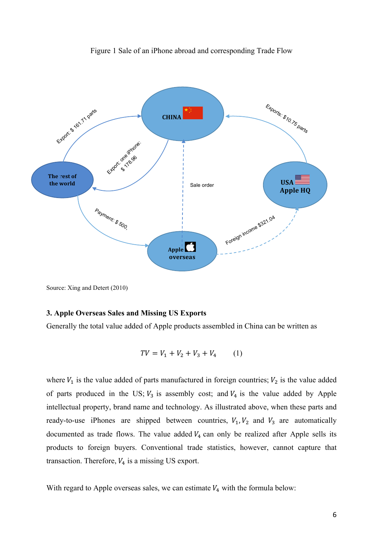

Figure 1 Sale of an iPhone abroad and corresponding Trade Flow

Source: Xing and Detert (2010)

## **3. Apple Overseas Sales and Missing US Exports**

Generally the total value added of Apple products assembled in China can be written as

$$
TV = V_1 + V_2 + V_3 + V_4 \tag{1}
$$

where  $V_1$  is the value added of parts manufactured in foreign countries;  $V_2$  is the value added of parts produced in the US;  $V_3$  is assembly cost; and  $V_4$  is the value added by Apple intellectual property, brand name and technology. As illustrated above, when these parts and ready-to-use iPhones are shipped between countries,  $V_1$ ,  $V_2$  and  $V_3$  are automatically documented as trade flows. The value added  $V_4$  can only be realized after Apple sells its products to foreign buyers. Conventional trade statistics, however, cannot capture that transaction. Therefore,  $V_4$  is a missing US export.

With regard to Apple overseas sales, we can estimate  $V_4$  with the formula below: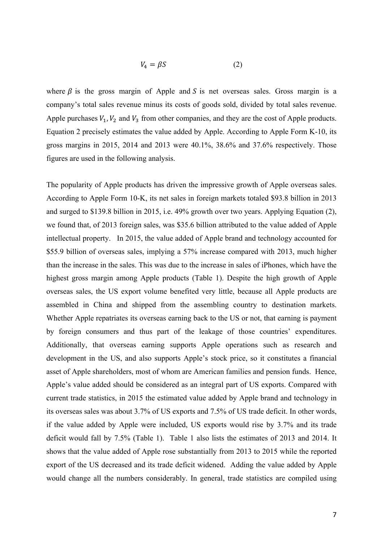$$
V_4 = \beta S \tag{2}
$$

where  $\beta$  is the gross margin of Apple and S is net overseas sales. Gross margin is a company's total sales revenue minus its costs of goods sold, divided by total sales revenue. Apple purchases  $V_1$ ,  $V_2$  and  $V_3$  from other companies, and they are the cost of Apple products. Equation 2 precisely estimates the value added by Apple. According to Apple Form K-10, its gross margins in 2015, 2014 and 2013 were 40.1%, 38.6% and 37.6% respectively. Those figures are used in the following analysis.

The popularity of Apple products has driven the impressive growth of Apple overseas sales. According to Apple Form 10-K, its net sales in foreign markets totaled \$93.8 billion in 2013 and surged to \$139.8 billion in 2015, i.e. 49% growth over two years. Applying Equation (2), we found that, of 2013 foreign sales, was \$35.6 billion attributed to the value added of Apple intellectual property. In 2015, the value added of Apple brand and technology accounted for \$55.9 billion of overseas sales, implying a 57% increase compared with 2013, much higher than the increase in the sales. This was due to the increase in sales of iPhones, which have the highest gross margin among Apple products (Table 1). Despite the high growth of Apple overseas sales, the US export volume benefited very little, because all Apple products are assembled in China and shipped from the assembling country to destination markets. Whether Apple repatriates its overseas earning back to the US or not, that earning is payment by foreign consumers and thus part of the leakage of those countries' expenditures. Additionally, that overseas earning supports Apple operations such as research and development in the US, and also supports Apple's stock price, so it constitutes a financial asset of Apple shareholders, most of whom are American families and pension funds. Hence, Apple's value added should be considered as an integral part of US exports. Compared with current trade statistics, in 2015 the estimated value added by Apple brand and technology in its overseas sales was about 3.7% of US exports and 7.5% of US trade deficit. In other words, if the value added by Apple were included, US exports would rise by 3.7% and its trade deficit would fall by 7.5% (Table 1). Table 1 also lists the estimates of 2013 and 2014. It shows that the value added of Apple rose substantially from 2013 to 2015 while the reported export of the US decreased and its trade deficit widened. Adding the value added by Apple would change all the numbers considerably. In general, trade statistics are compiled using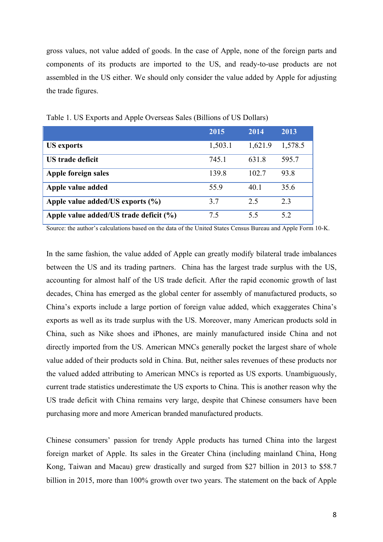gross values, not value added of goods. In the case of Apple, none of the foreign parts and components of its products are imported to the US, and ready-to-use products are not assembled in the US either. We should only consider the value added by Apple for adjusting the trade figures.

|                                        | 2015    | 2014    | 2013    |
|----------------------------------------|---------|---------|---------|
| <b>US</b> exports                      | 1,503.1 | 1,621.9 | 1,578.5 |
| US trade deficit                       | 745.1   | 631.8   | 595.7   |
| Apple foreign sales                    | 139.8   | 102.7   | 93.8    |
| Apple value added                      | 55.9    | 40.1    | 35.6    |
| Apple value added/US exports $(\% )$   | 3.7     | 2.5     | 2.3     |
| Apple value added/US trade deficit (%) | 7.5     | 5.5     | 5.2     |

Table 1. US Exports and Apple Overseas Sales (Billions of US Dollars)

Source: the author's calculations based on the data of the United States Census Bureau and Apple Form 10-K.

In the same fashion, the value added of Apple can greatly modify bilateral trade imbalances between the US and its trading partners. China has the largest trade surplus with the US, accounting for almost half of the US trade deficit. After the rapid economic growth of last decades, China has emerged as the global center for assembly of manufactured products, so China's exports include a large portion of foreign value added, which exaggerates China's exports as well as its trade surplus with the US. Moreover, many American products sold in China, such as Nike shoes and iPhones, are mainly manufactured inside China and not directly imported from the US. American MNCs generally pocket the largest share of whole value added of their products sold in China. But, neither sales revenues of these products nor the valued added attributing to American MNCs is reported as US exports. Unambiguously, current trade statistics underestimate the US exports to China. This is another reason why the US trade deficit with China remains very large, despite that Chinese consumers have been purchasing more and more American branded manufactured products.

Chinese consumers' passion for trendy Apple products has turned China into the largest foreign market of Apple. Its sales in the Greater China (including mainland China, Hong Kong, Taiwan and Macau) grew drastically and surged from \$27 billion in 2013 to \$58.7 billion in 2015, more than 100% growth over two years. The statement on the back of Apple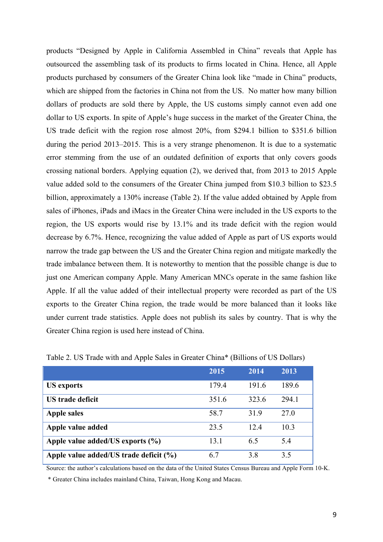products "Designed by Apple in California Assembled in China" reveals that Apple has outsourced the assembling task of its products to firms located in China. Hence, all Apple products purchased by consumers of the Greater China look like "made in China" products, which are shipped from the factories in China not from the US. No matter how many billion dollars of products are sold there by Apple, the US customs simply cannot even add one dollar to US exports. In spite of Apple's huge success in the market of the Greater China, the US trade deficit with the region rose almost 20%, from \$294.1 billion to \$351.6 billion during the period 2013–2015. This is a very strange phenomenon. It is due to a systematic error stemming from the use of an outdated definition of exports that only covers goods crossing national borders. Applying equation (2), we derived that, from 2013 to 2015 Apple value added sold to the consumers of the Greater China jumped from \$10.3 billion to \$23.5 billion, approximately a 130% increase (Table 2). If the value added obtained by Apple from sales of iPhones, iPads and iMacs in the Greater China were included in the US exports to the region, the US exports would rise by 13.1% and its trade deficit with the region would decrease by 6.7%. Hence, recognizing the value added of Apple as part of US exports would narrow the trade gap between the US and the Greater China region and mitigate markedly the trade imbalance between them. It is noteworthy to mention that the possible change is due to just one American company Apple. Many American MNCs operate in the same fashion like Apple. If all the value added of their intellectual property were recorded as part of the US exports to the Greater China region, the trade would be more balanced than it looks like under current trade statistics. Apple does not publish its sales by country. That is why the Greater China region is used here instead of China.

|                                            | 2015  | 2014  | 2013  |
|--------------------------------------------|-------|-------|-------|
| <b>US</b> exports                          | 179.4 | 191.6 | 189.6 |
| US trade deficit                           | 351.6 | 323.6 | 294.1 |
| <b>Apple sales</b>                         | 58.7  | 31.9  | 27.0  |
| Apple value added                          | 23.5  | 12.4  | 10.3  |
| Apple value added/US exports (%)           | 13.1  | 6.5   | 5.4   |
| Apple value added/US trade deficit $(\% )$ | 6.7   | 3.8   | 3.5   |

Table 2. US Trade with and Apple Sales in Greater China\* (Billions of US Dollars)

Source: the author's calculations based on the data of the United States Census Bureau and Apple Form 10-K.

\* Greater China includes mainland China, Taiwan, Hong Kong and Macau.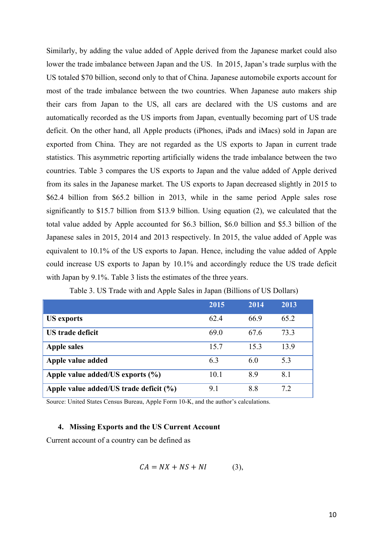Similarly, by adding the value added of Apple derived from the Japanese market could also lower the trade imbalance between Japan and the US. In 2015, Japan's trade surplus with the US totaled \$70 billion, second only to that of China. Japanese automobile exports account for most of the trade imbalance between the two countries. When Japanese auto makers ship their cars from Japan to the US, all cars are declared with the US customs and are automatically recorded as the US imports from Japan, eventually becoming part of US trade deficit. On the other hand, all Apple products (iPhones, iPads and iMacs) sold in Japan are exported from China. They are not regarded as the US exports to Japan in current trade statistics. This asymmetric reporting artificially widens the trade imbalance between the two countries. Table 3 compares the US exports to Japan and the value added of Apple derived from its sales in the Japanese market. The US exports to Japan decreased slightly in 2015 to \$62.4 billion from \$65.2 billion in 2013, while in the same period Apple sales rose significantly to \$15.7 billion from \$13.9 billion. Using equation (2), we calculated that the total value added by Apple accounted for \$6.3 billion, \$6.0 billion and \$5.3 billion of the Japanese sales in 2015, 2014 and 2013 respectively. In 2015, the value added of Apple was equivalent to 10.1% of the US exports to Japan. Hence, including the value added of Apple could increase US exports to Japan by 10.1% and accordingly reduce the US trade deficit with Japan by 9.1%. Table 3 lists the estimates of the three years.

|                                        | 2015 | 2014 | 2013 |
|----------------------------------------|------|------|------|
| US exports                             | 62.4 | 66.9 | 65.2 |
| <b>US</b> trade deficit                | 69.0 | 67.6 | 73.3 |
| <b>Apple sales</b>                     | 15.7 | 15.3 | 13.9 |
| Apple value added                      | 6.3  | 60   | 5.3  |
| Apple value added/US exports $(\% )$   | 10.1 | 8.9  | 8.1  |
| Apple value added/US trade deficit (%) | 9.1  | 8.8  | 7.2  |

Table 3. US Trade with and Apple Sales in Japan (Billions of US Dollars)

Source: United States Census Bureau, Apple Form 10-K, and the author's calculations.

# **4. Missing Exports and the US Current Account**

Current account of a country can be defined as

$$
CA = NX + NS + NI \tag{3}
$$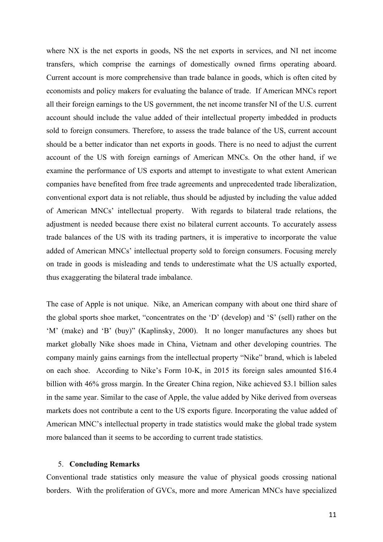where NX is the net exports in goods, NS the net exports in services, and NI net income transfers, which comprise the earnings of domestically owned firms operating aboard. Current account is more comprehensive than trade balance in goods, which is often cited by economists and policy makers for evaluating the balance of trade. If American MNCs report all their foreign earnings to the US government, the net income transfer NI of the U.S. current account should include the value added of their intellectual property imbedded in products sold to foreign consumers. Therefore, to assess the trade balance of the US, current account should be a better indicator than net exports in goods. There is no need to adjust the current account of the US with foreign earnings of American MNCs. On the other hand, if we examine the performance of US exports and attempt to investigate to what extent American companies have benefited from free trade agreements and unprecedented trade liberalization, conventional export data is not reliable, thus should be adjusted by including the value added of American MNCs' intellectual property. With regards to bilateral trade relations, the adjustment is needed because there exist no bilateral current accounts. To accurately assess trade balances of the US with its trading partners, it is imperative to incorporate the value added of American MNCs' intellectual property sold to foreign consumers. Focusing merely on trade in goods is misleading and tends to underestimate what the US actually exported, thus exaggerating the bilateral trade imbalance.

The case of Apple is not unique. Nike, an American company with about one third share of the global sports shoe market, "concentrates on the 'D' (develop) and 'S' (sell) rather on the 'M' (make) and 'B' (buy)" (Kaplinsky, 2000). It no longer manufactures any shoes but market globally Nike shoes made in China, Vietnam and other developing countries. The company mainly gains earnings from the intellectual property "Nike" brand, which is labeled on each shoe. According to Nike's Form 10-K, in 2015 its foreign sales amounted \$16.4 billion with 46% gross margin. In the Greater China region, Nike achieved \$3.1 billion sales in the same year. Similar to the case of Apple, the value added by Nike derived from overseas markets does not contribute a cent to the US exports figure. Incorporating the value added of American MNC's intellectual property in trade statistics would make the global trade system more balanced than it seems to be according to current trade statistics.

#### 5. **Concluding Remarks**

Conventional trade statistics only measure the value of physical goods crossing national borders. With the proliferation of GVCs, more and more American MNCs have specialized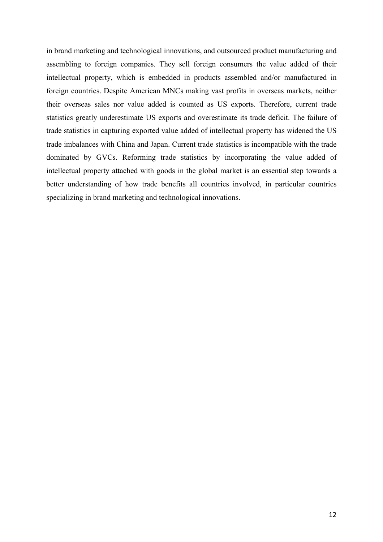in brand marketing and technological innovations, and outsourced product manufacturing and assembling to foreign companies. They sell foreign consumers the value added of their intellectual property, which is embedded in products assembled and/or manufactured in foreign countries. Despite American MNCs making vast profits in overseas markets, neither their overseas sales nor value added is counted as US exports. Therefore, current trade statistics greatly underestimate US exports and overestimate its trade deficit. The failure of trade statistics in capturing exported value added of intellectual property has widened the US trade imbalances with China and Japan. Current trade statistics is incompatible with the trade dominated by GVCs. Reforming trade statistics by incorporating the value added of intellectual property attached with goods in the global market is an essential step towards a better understanding of how trade benefits all countries involved, in particular countries specializing in brand marketing and technological innovations.